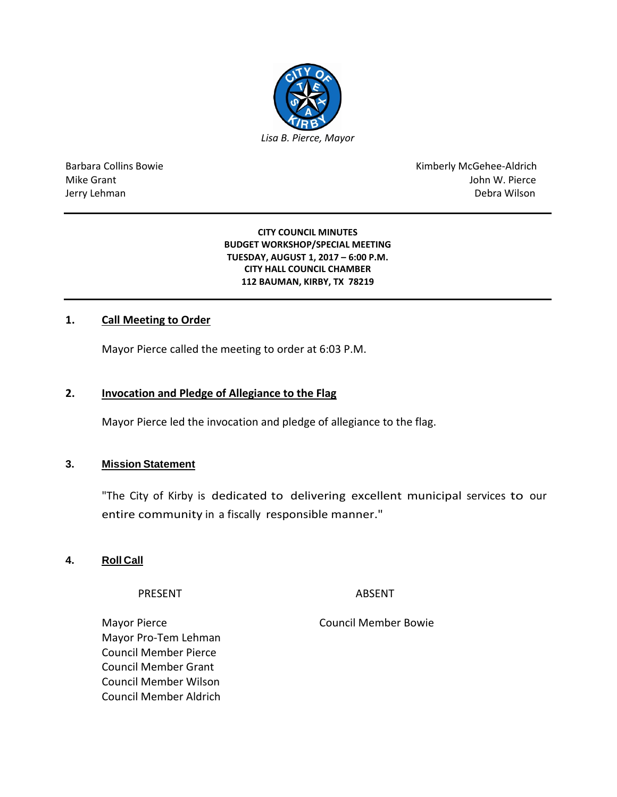

Barbara Collins Bowie **Kimberly McGehee-Aldrich** Mike Grant John W. Pierce Jerry Lehman Debra Wilson

> **CITY COUNCIL MINUTES BUDGET WORKSHOP/SPECIAL MEETING TUESDAY, AUGUST 1, 2017 – 6:00 P.M. CITY HALL COUNCIL CHAMBER 112 BAUMAN, KIRBY, TX 78219**

# **1. Call Meeting to Order**

Mayor Pierce called the meeting to order at 6:03 P.M.

## **2. Invocation and Pledge of Allegiance to the Flag**

Mayor Pierce led the invocation and pledge of allegiance to the flag.

### **3. Mission Statement**

"The City of Kirby is dedicated to delivering excellent municipal services to our entire community in a fiscally responsible manner."

### **4. Roll Call**

PRESENT ABSENT

Mayor Pro-Tem Lehman Council Member Pierce Council Member Grant Council Member Wilson Council Member Aldrich

Mayor Pierce **Council Member Bowie** Council Member Bowie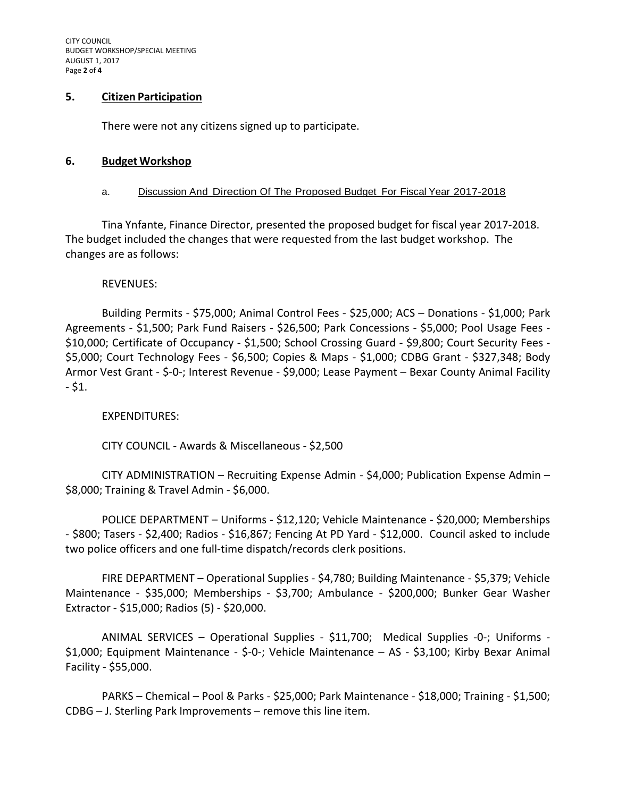CITY COUNCIL BUDGET WORKSHOP/SPECIAL MEETING AUGUST 1, 2017 Page **2** of **4**

# **5. Citizen Participation**

There were not any citizens signed up to participate.

### **6. Budget Workshop**

### a. Discussion And Direction Of The Proposed Budget For Fiscal Year 2017-2018

Tina Ynfante, Finance Director, presented the proposed budget for fiscal year 2017-2018. The budget included the changes that were requested from the last budget workshop. The changes are as follows:

## REVENUES:

Building Permits - \$75,000; Animal Control Fees - \$25,000; ACS – Donations - \$1,000; Park Agreements - \$1,500; Park Fund Raisers - \$26,500; Park Concessions - \$5,000; Pool Usage Fees - \$10,000; Certificate of Occupancy - \$1,500; School Crossing Guard - \$9,800; Court Security Fees - \$5,000; Court Technology Fees - \$6,500; Copies & Maps - \$1,000; CDBG Grant - \$327,348; Body Armor Vest Grant - \$-0-; Interest Revenue - \$9,000; Lease Payment – Bexar County Animal Facility  $-$  \$1.

# EXPENDITURES:

CITY COUNCIL - Awards & Miscellaneous - \$2,500

CITY ADMINISTRATION – Recruiting Expense Admin - \$4,000; Publication Expense Admin – \$8,000; Training & Travel Admin - \$6,000.

POLICE DEPARTMENT – Uniforms - \$12,120; Vehicle Maintenance - \$20,000; Memberships - \$800; Tasers - \$2,400; Radios - \$16,867; Fencing At PD Yard - \$12,000. Council asked to include two police officers and one full-time dispatch/records clerk positions.

FIRE DEPARTMENT – Operational Supplies - \$4,780; Building Maintenance - \$5,379; Vehicle Maintenance - \$35,000; Memberships - \$3,700; Ambulance - \$200,000; Bunker Gear Washer Extractor - \$15,000; Radios (5) - \$20,000.

ANIMAL SERVICES – Operational Supplies - \$11,700; Medical Supplies -0-; Uniforms - \$1,000; Equipment Maintenance - \$-0-; Vehicle Maintenance – AS - \$3,100; Kirby Bexar Animal Facility - \$55,000.

PARKS – Chemical – Pool & Parks - \$25,000; Park Maintenance - \$18,000; Training - \$1,500; CDBG – J. Sterling Park Improvements – remove this line item.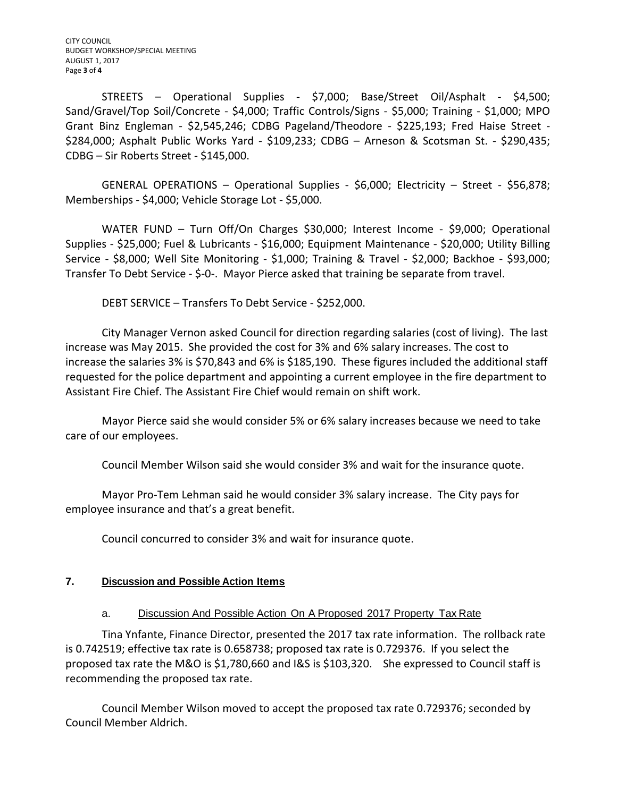STREETS – Operational Supplies - \$7,000; Base/Street Oil/Asphalt - \$4,500; Sand/Gravel/Top Soil/Concrete - \$4,000; Traffic Controls/Signs - \$5,000; Training - \$1,000; MPO Grant Binz Engleman - \$2,545,246; CDBG Pageland/Theodore - \$225,193; Fred Haise Street - \$284,000; Asphalt Public Works Yard - \$109,233; CDBG – Arneson & Scotsman St. - \$290,435; CDBG – Sir Roberts Street - \$145,000.

GENERAL OPERATIONS – Operational Supplies - \$6,000; Electricity – Street - \$56,878; Memberships - \$4,000; Vehicle Storage Lot - \$5,000.

WATER FUND – Turn Off/On Charges \$30,000; Interest Income - \$9,000; Operational Supplies - \$25,000; Fuel & Lubricants - \$16,000; Equipment Maintenance - \$20,000; Utility Billing Service - \$8,000; Well Site Monitoring - \$1,000; Training & Travel - \$2,000; Backhoe - \$93,000; Transfer To Debt Service - \$-0-. Mayor Pierce asked that training be separate from travel.

DEBT SERVICE – Transfers To Debt Service - \$252,000.

City Manager Vernon asked Council for direction regarding salaries (cost of living). The last increase was May 2015. She provided the cost for 3% and 6% salary increases. The cost to increase the salaries 3% is \$70,843 and 6% is \$185,190. These figures included the additional staff requested for the police department and appointing a current employee in the fire department to Assistant Fire Chief. The Assistant Fire Chief would remain on shift work.

Mayor Pierce said she would consider 5% or 6% salary increases because we need to take care of our employees.

Council Member Wilson said she would consider 3% and wait for the insurance quote.

Mayor Pro-Tem Lehman said he would consider 3% salary increase. The City pays for employee insurance and that's a great benefit.

Council concurred to consider 3% and wait for insurance quote.

# **7. Discussion and Possible Action Items**

# a. Discussion And Possible Action On A Proposed 2017 Property Tax Rate

Tina Ynfante, Finance Director, presented the 2017 tax rate information. The rollback rate is 0.742519; effective tax rate is 0.658738; proposed tax rate is 0.729376. If you select the proposed tax rate the M&O is \$1,780,660 and I&S is \$103,320. She expressed to Council staff is recommending the proposed tax rate.

Council Member Wilson moved to accept the proposed tax rate 0.729376; seconded by Council Member Aldrich.